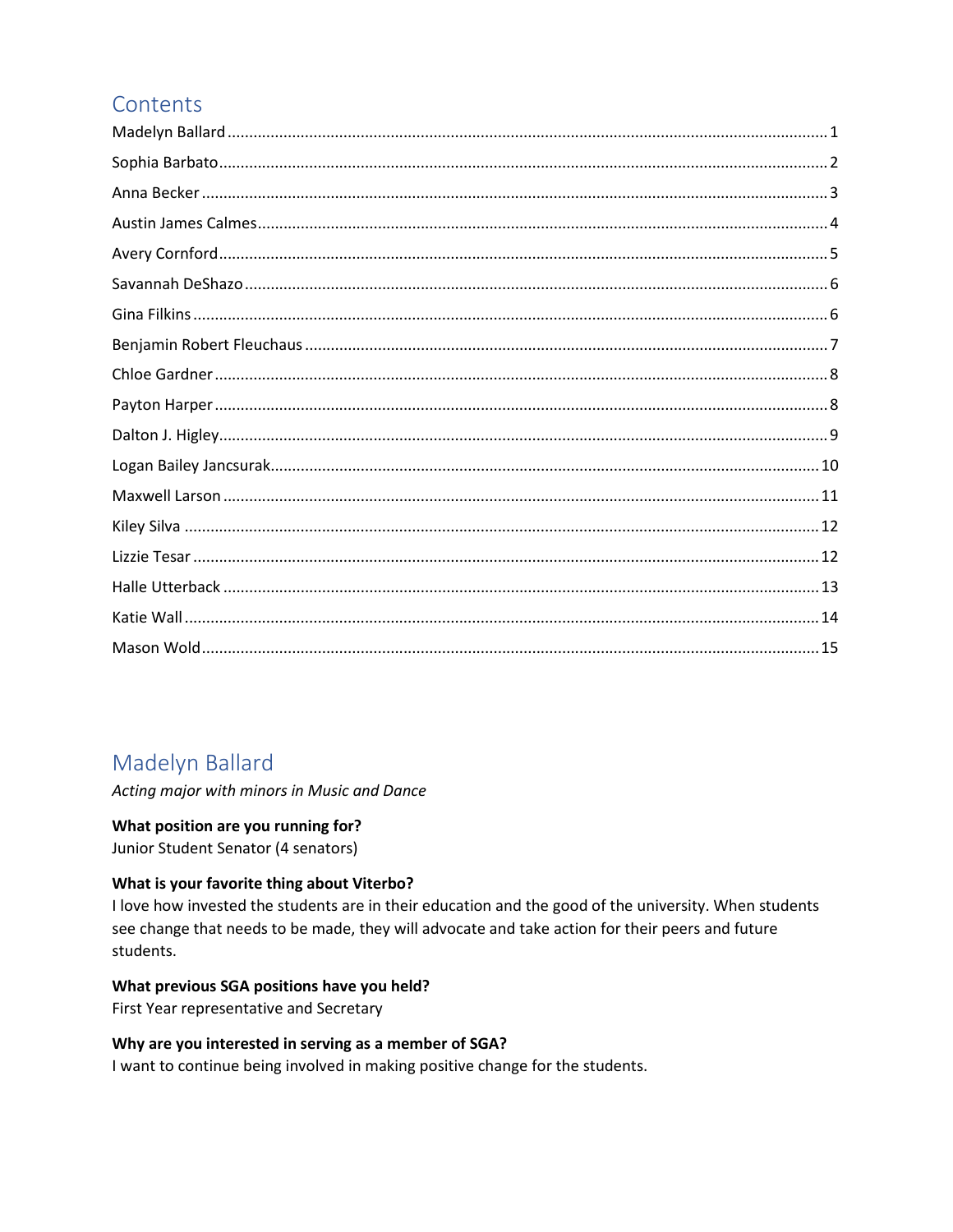# Contents

# Madelyn Ballard

Acting major with minors in Music and Dance

# What position are you running for?

Junior Student Senator (4 senators)

# What is your favorite thing about Viterbo?

I love how invested the students are in their education and the good of the university. When students see change that needs to be made, they will advocate and take action for their peers and future students.

# What previous SGA positions have you held?

First Year representative and Secretary

# Why are you interested in serving as a member of SGA?

I want to continue being involved in making positive change for the students.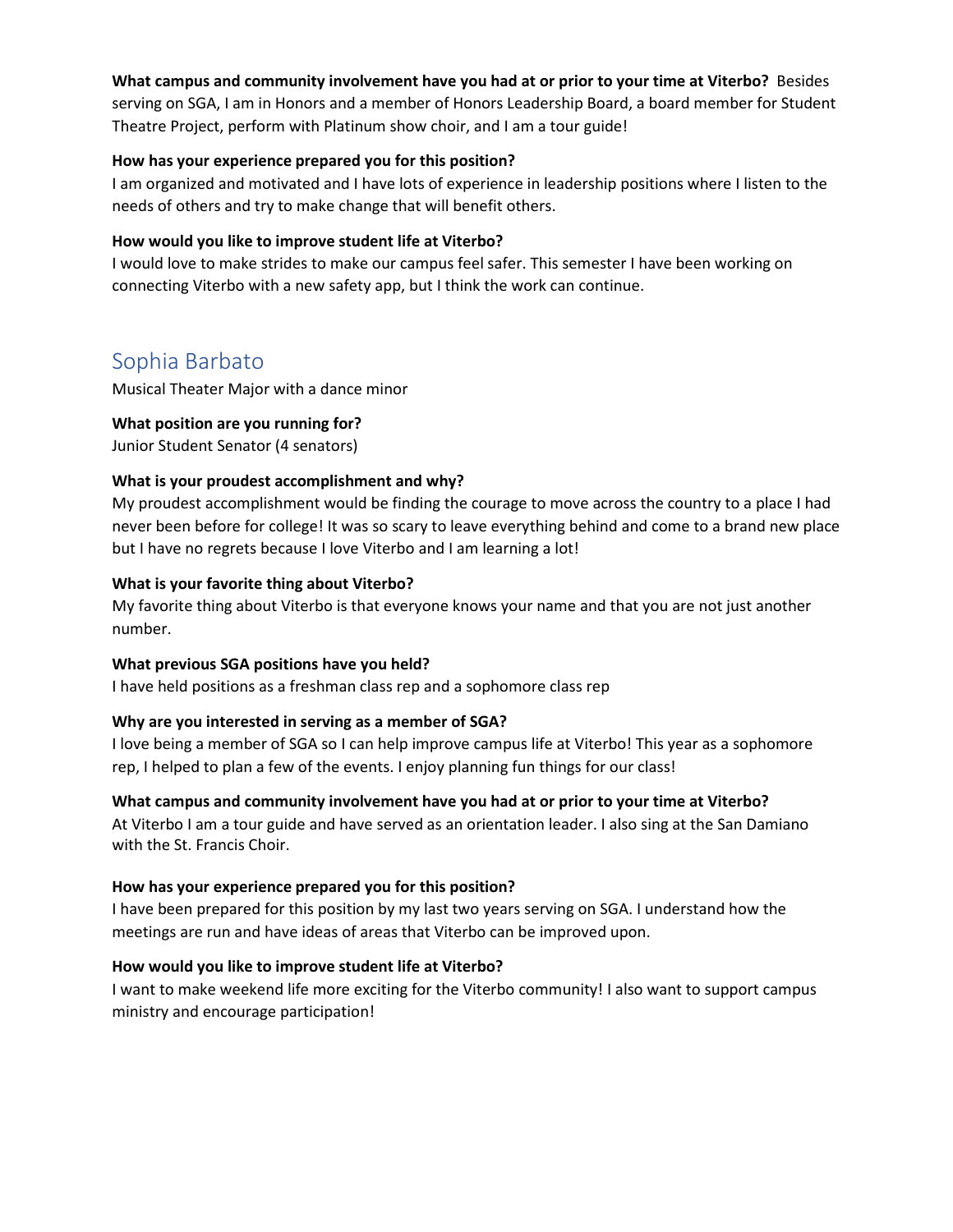#### **What campus and community involvement have you had at or prior to your time at Viterbo?** Besides

serving on SGA, I am in Honors and a member of Honors Leadership Board, a board member for Student Theatre Project, perform with Platinum show choir, and I am a tour guide!

#### **How has your experience prepared you for this position?**

I am organized and motivated and I have lots of experience in leadership positions where I listen to the needs of others and try to make change that will benefit others.

#### **How would you like to improve student life at Viterbo?**

I would love to make strides to make our campus feel safer. This semester I have been working on connecting Viterbo with a new safety app, but I think the work can continue.

# Sophia Barbato

Musical Theater Major with a dance minor

# **What position are you running for?**

Junior Student Senator (4 senators)

# **What is your proudest accomplishment and why?**

My proudest accomplishment would be finding the courage to move across the country to a place I had never been before for college! It was so scary to leave everything behind and come to a brand new place but I have no regrets because I love Viterbo and I am learning a lot!

# **What is your favorite thing about Viterbo?**

My favorite thing about Viterbo is that everyone knows your name and that you are not just another number.

#### **What previous SGA positions have you held?**

I have held positions as a freshman class rep and a sophomore class rep

# **Why are you interested in serving as a member of SGA?**

I love being a member of SGA so I can help improve campus life at Viterbo! This year as a sophomore rep, I helped to plan a few of the events. I enjoy planning fun things for our class!

#### **What campus and community involvement have you had at or prior to your time at Viterbo?**

At Viterbo I am a tour guide and have served as an orientation leader. I also sing at the San Damiano with the St. Francis Choir.

#### **How has your experience prepared you for this position?**

I have been prepared for this position by my last two years serving on SGA. I understand how the meetings are run and have ideas of areas that Viterbo can be improved upon.

#### **How would you like to improve student life at Viterbo?**

I want to make weekend life more exciting for the Viterbo community! I also want to support campus ministry and encourage participation!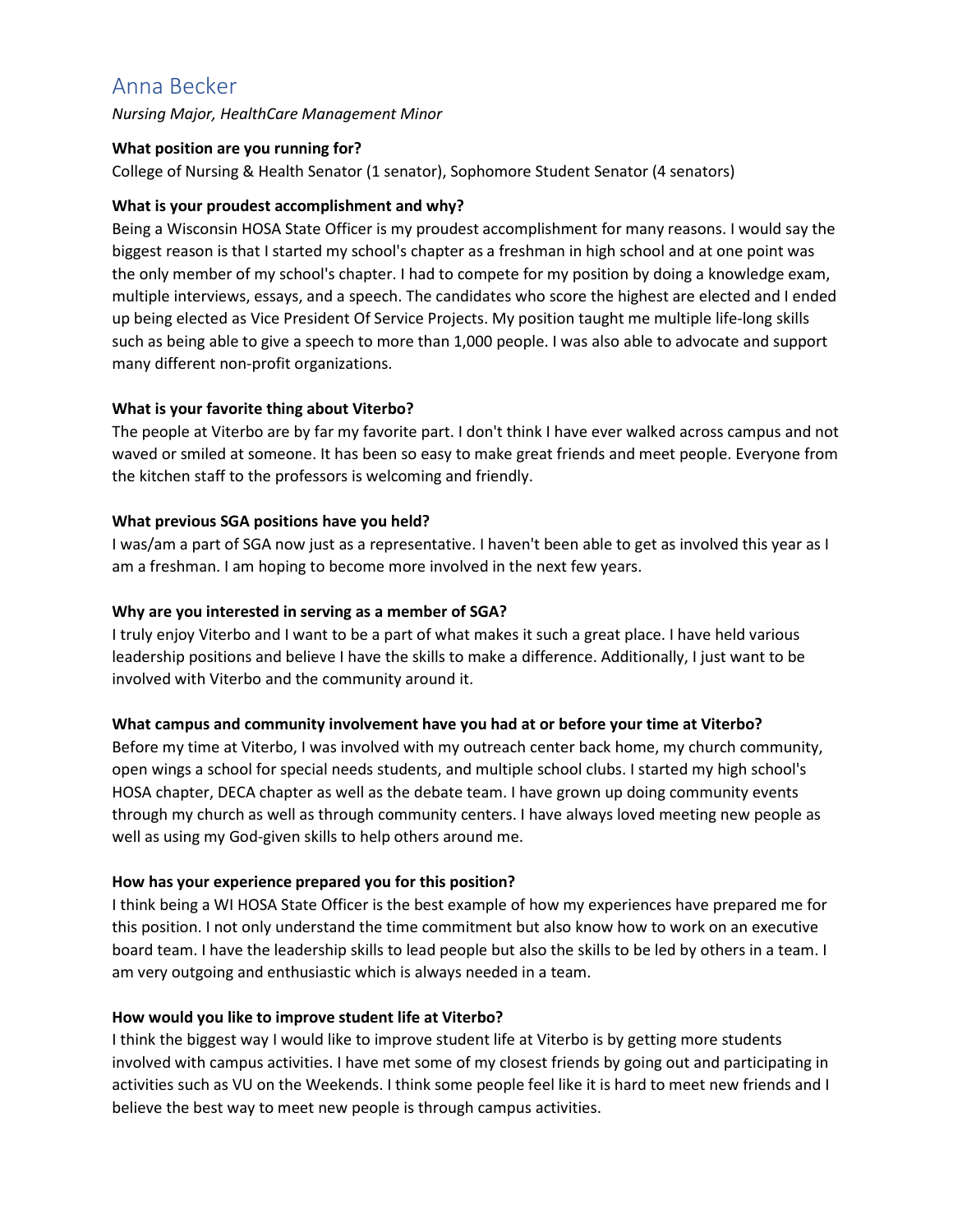# Anna Becker

*Nursing Major, HealthCare Management Minor* 

#### **What position are you running for?**

College of Nursing & Health Senator (1 senator), Sophomore Student Senator (4 senators)

# **What is your proudest accomplishment and why?**

Being a Wisconsin HOSA State Officer is my proudest accomplishment for many reasons. I would say the biggest reason is that I started my school's chapter as a freshman in high school and at one point was the only member of my school's chapter. I had to compete for my position by doing a knowledge exam, multiple interviews, essays, and a speech. The candidates who score the highest are elected and I ended up being elected as Vice President Of Service Projects. My position taught me multiple life-long skills such as being able to give a speech to more than 1,000 people. I was also able to advocate and support many different non-profit organizations.

# **What is your favorite thing about Viterbo?**

The people at Viterbo are by far my favorite part. I don't think I have ever walked across campus and not waved or smiled at someone. It has been so easy to make great friends and meet people. Everyone from the kitchen staff to the professors is welcoming and friendly.

# **What previous SGA positions have you held?**

I was/am a part of SGA now just as a representative. I haven't been able to get as involved this year as I am a freshman. I am hoping to become more involved in the next few years.

# **Why are you interested in serving as a member of SGA?**

I truly enjoy Viterbo and I want to be a part of what makes it such a great place. I have held various leadership positions and believe I have the skills to make a difference. Additionally, I just want to be involved with Viterbo and the community around it.

#### **What campus and community involvement have you had at or before your time at Viterbo?**

Before my time at Viterbo, I was involved with my outreach center back home, my church community, open wings a school for special needs students, and multiple school clubs. I started my high school's HOSA chapter, DECA chapter as well as the debate team. I have grown up doing community events through my church as well as through community centers. I have always loved meeting new people as well as using my God-given skills to help others around me.

#### **How has your experience prepared you for this position?**

I think being a WI HOSA State Officer is the best example of how my experiences have prepared me for this position. I not only understand the time commitment but also know how to work on an executive board team. I have the leadership skills to lead people but also the skills to be led by others in a team. I am very outgoing and enthusiastic which is always needed in a team.

#### **How would you like to improve student life at Viterbo?**

I think the biggest way I would like to improve student life at Viterbo is by getting more students involved with campus activities. I have met some of my closest friends by going out and participating in activities such as VU on the Weekends. I think some people feel like it is hard to meet new friends and I believe the best way to meet new people is through campus activities.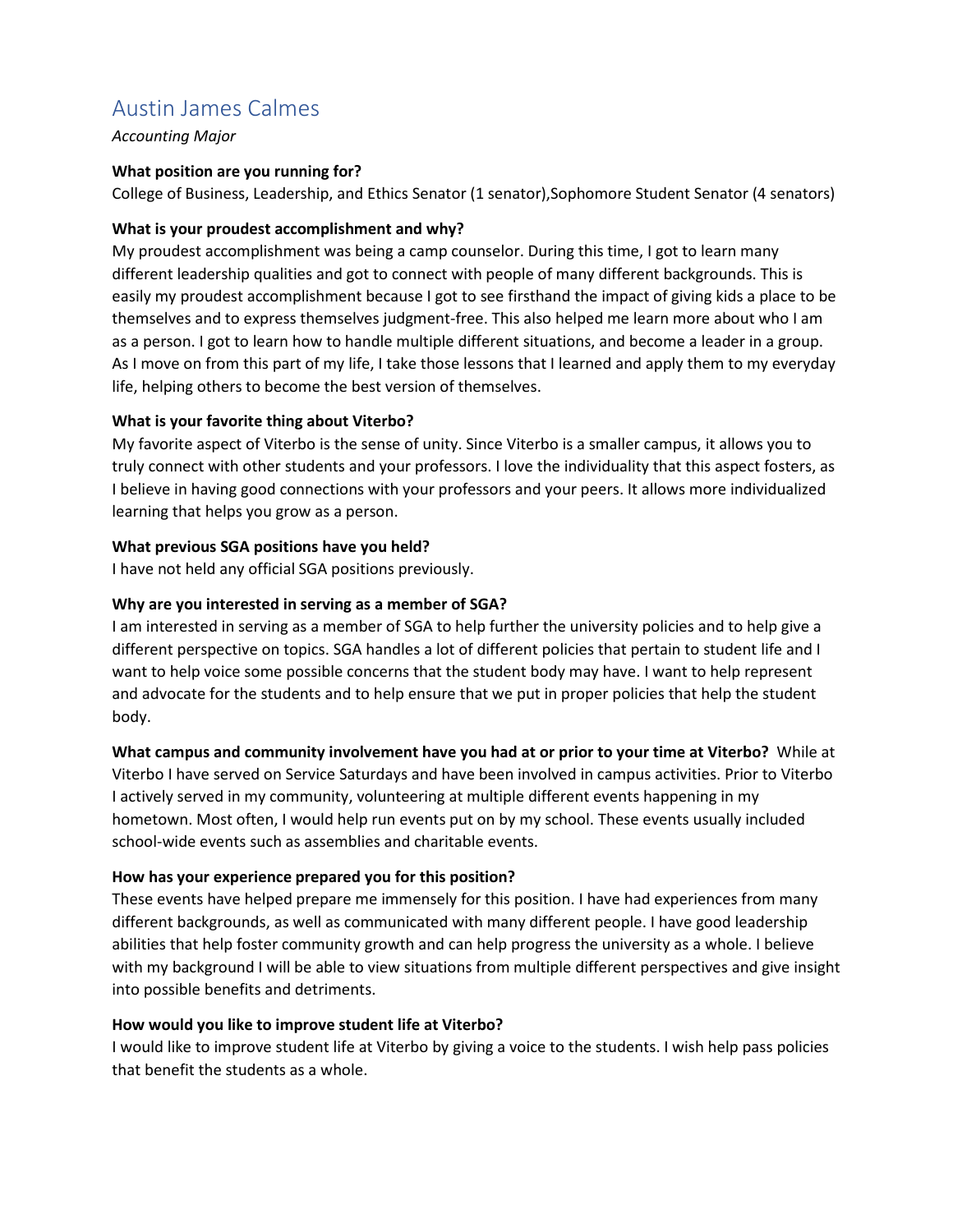# Austin James Calmes

*Accounting Major* 

# **What position are you running for?**

College of Business, Leadership, and Ethics Senator (1 senator),Sophomore Student Senator (4 senators)

# **What is your proudest accomplishment and why?**

My proudest accomplishment was being a camp counselor. During this time, I got to learn many different leadership qualities and got to connect with people of many different backgrounds. This is easily my proudest accomplishment because I got to see firsthand the impact of giving kids a place to be themselves and to express themselves judgment-free. This also helped me learn more about who I am as a person. I got to learn how to handle multiple different situations, and become a leader in a group. As I move on from this part of my life, I take those lessons that I learned and apply them to my everyday life, helping others to become the best version of themselves.

# **What is your favorite thing about Viterbo?**

My favorite aspect of Viterbo is the sense of unity. Since Viterbo is a smaller campus, it allows you to truly connect with other students and your professors. I love the individuality that this aspect fosters, as I believe in having good connections with your professors and your peers. It allows more individualized learning that helps you grow as a person.

# **What previous SGA positions have you held?**

I have not held any official SGA positions previously.

# **Why are you interested in serving as a member of SGA?**

I am interested in serving as a member of SGA to help further the university policies and to help give a different perspective on topics. SGA handles a lot of different policies that pertain to student life and I want to help voice some possible concerns that the student body may have. I want to help represent and advocate for the students and to help ensure that we put in proper policies that help the student body.

# **What campus and community involvement have you had at or prior to your time at Viterbo?** While at

Viterbo I have served on Service Saturdays and have been involved in campus activities. Prior to Viterbo I actively served in my community, volunteering at multiple different events happening in my hometown. Most often, I would help run events put on by my school. These events usually included school-wide events such as assemblies and charitable events.

# **How has your experience prepared you for this position?**

These events have helped prepare me immensely for this position. I have had experiences from many different backgrounds, as well as communicated with many different people. I have good leadership abilities that help foster community growth and can help progress the university as a whole. I believe with my background I will be able to view situations from multiple different perspectives and give insight into possible benefits and detriments.

# **How would you like to improve student life at Viterbo?**

I would like to improve student life at Viterbo by giving a voice to the students. I wish help pass policies that benefit the students as a whole.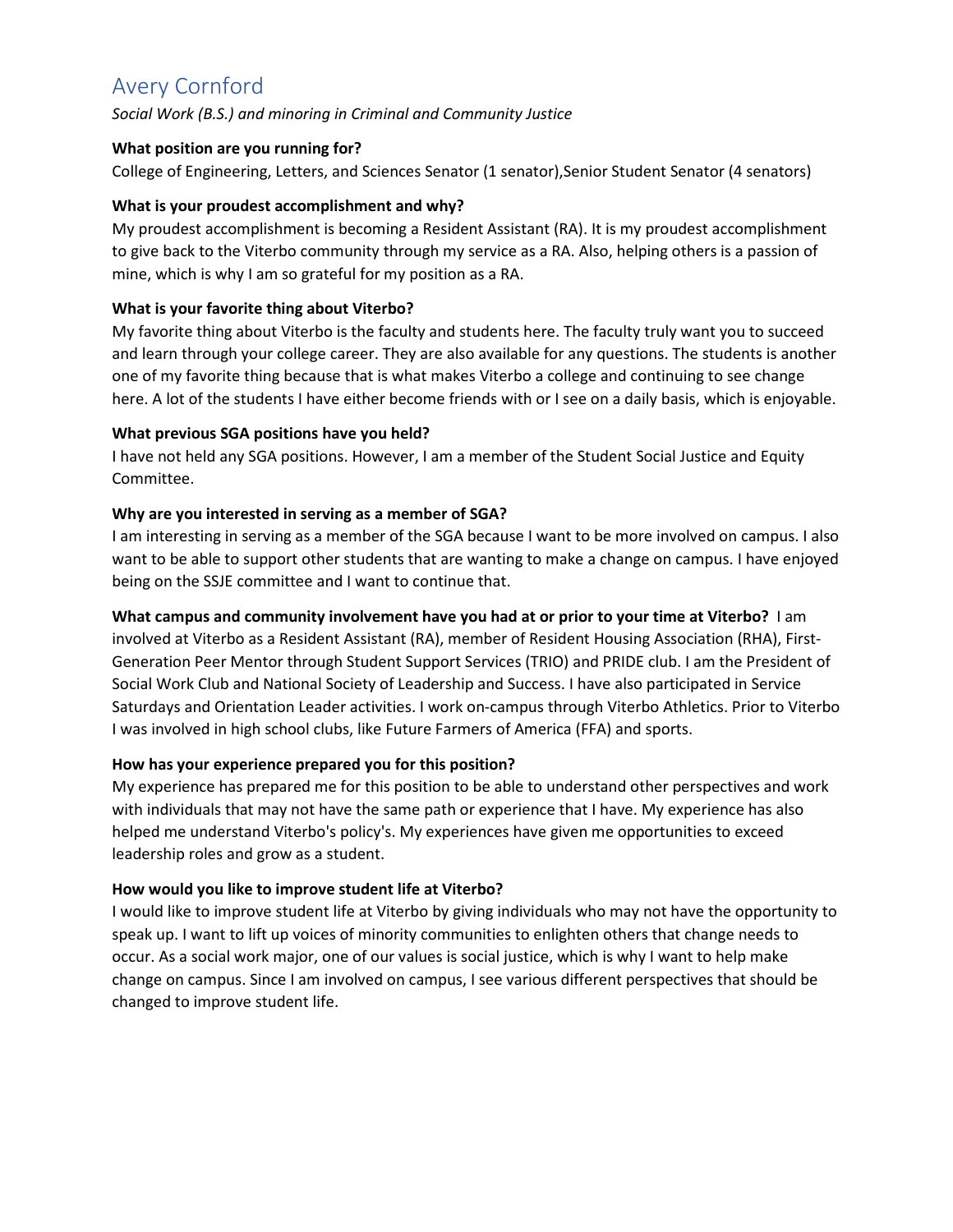# Avery Cornford

*Social Work (B.S.) and minoring in Criminal and Community Justice* 

# **What position are you running for?**

College of Engineering, Letters, and Sciences Senator (1 senator),Senior Student Senator (4 senators)

# **What is your proudest accomplishment and why?**

My proudest accomplishment is becoming a Resident Assistant (RA). It is my proudest accomplishment to give back to the Viterbo community through my service as a RA. Also, helping others is a passion of mine, which is why I am so grateful for my position as a RA.

# **What is your favorite thing about Viterbo?**

My favorite thing about Viterbo is the faculty and students here. The faculty truly want you to succeed and learn through your college career. They are also available for any questions. The students is another one of my favorite thing because that is what makes Viterbo a college and continuing to see change here. A lot of the students I have either become friends with or I see on a daily basis, which is enjoyable.

# **What previous SGA positions have you held?**

I have not held any SGA positions. However, I am a member of the Student Social Justice and Equity Committee.

# **Why are you interested in serving as a member of SGA?**

I am interesting in serving as a member of the SGA because I want to be more involved on campus. I also want to be able to support other students that are wanting to make a change on campus. I have enjoyed being on the SSJE committee and I want to continue that.

# **What campus and community involvement have you had at or prior to your time at Viterbo?** I am

involved at Viterbo as a Resident Assistant (RA), member of Resident Housing Association (RHA), First-Generation Peer Mentor through Student Support Services (TRIO) and PRIDE club. I am the President of Social Work Club and National Society of Leadership and Success. I have also participated in Service Saturdays and Orientation Leader activities. I work on-campus through Viterbo Athletics. Prior to Viterbo I was involved in high school clubs, like Future Farmers of America (FFA) and sports.

#### **How has your experience prepared you for this position?**

My experience has prepared me for this position to be able to understand other perspectives and work with individuals that may not have the same path or experience that I have. My experience has also helped me understand Viterbo's policy's. My experiences have given me opportunities to exceed leadership roles and grow as a student.

# **How would you like to improve student life at Viterbo?**

I would like to improve student life at Viterbo by giving individuals who may not have the opportunity to speak up. I want to lift up voices of minority communities to enlighten others that change needs to occur. As a social work major, one of our values is social justice, which is why I want to help make change on campus. Since I am involved on campus, I see various different perspectives that should be changed to improve student life.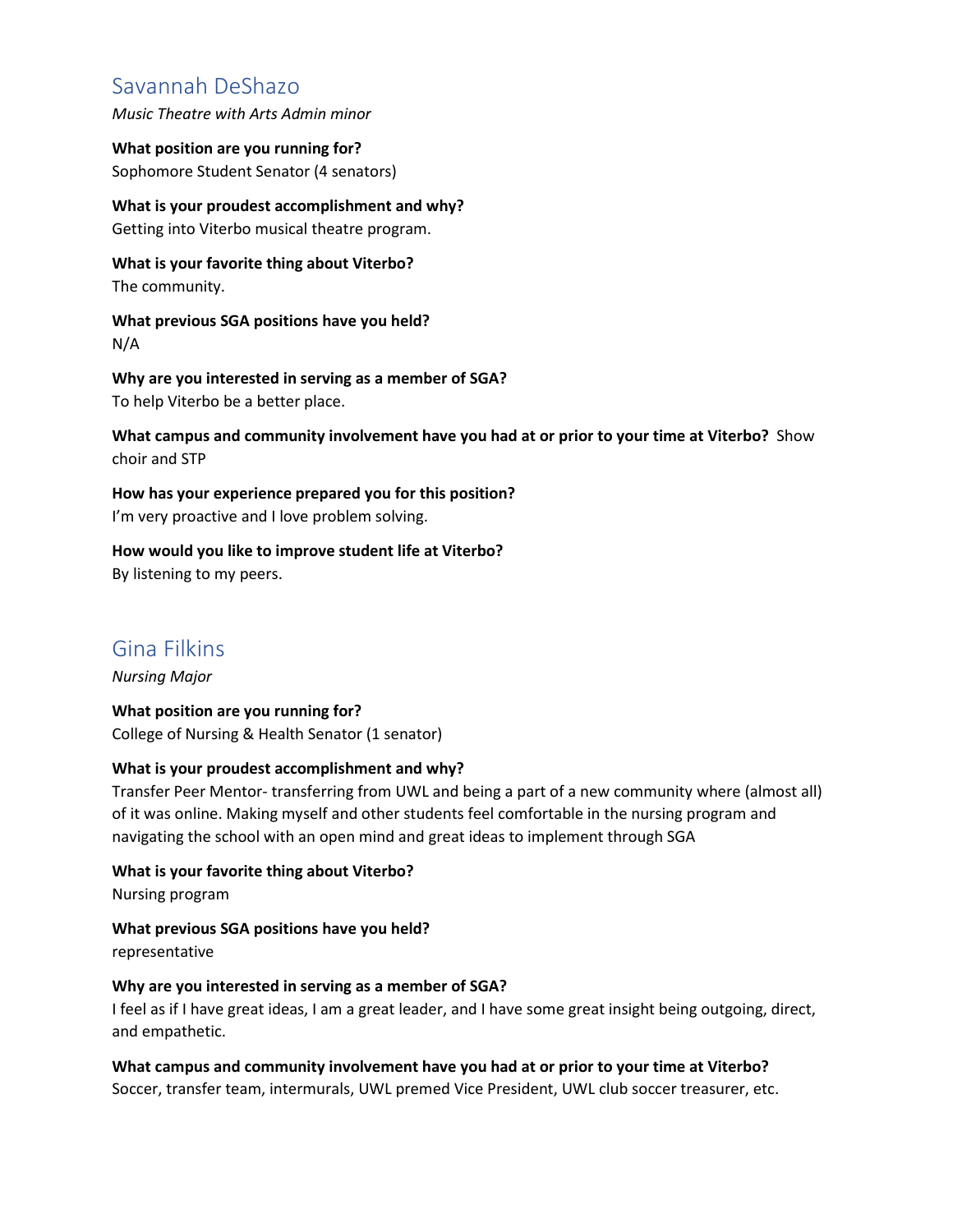# Savannah DeShazo

*Music Theatre with Arts Admin minor* 

**What position are you running for?**  Sophomore Student Senator (4 senators)

**What is your proudest accomplishment and why?**  Getting into Viterbo musical theatre program.

**What is your favorite thing about Viterbo?**  The community.

**What previous SGA positions have you held?**  N/A

**Why are you interested in serving as a member of SGA?**  To help Viterbo be a better place.

**What campus and community involvement have you had at or prior to your time at Viterbo?** Show choir and STP

**How has your experience prepared you for this position?**  I'm very proactive and I love problem solving.

**How would you like to improve student life at Viterbo?**  By listening to my peers.

# Gina Filkins

*Nursing Major* 

**What position are you running for?**  College of Nursing & Health Senator (1 senator)

#### **What is your proudest accomplishment and why?**

Transfer Peer Mentor- transferring from UWL and being a part of a new community where (almost all) of it was online. Making myself and other students feel comfortable in the nursing program and navigating the school with an open mind and great ideas to implement through SGA

**What is your favorite thing about Viterbo?**  Nursing program

**What previous SGA positions have you held?**  representative

#### **Why are you interested in serving as a member of SGA?**

I feel as if I have great ideas, I am a great leader, and I have some great insight being outgoing, direct, and empathetic.

**What campus and community involvement have you had at or prior to your time at Viterbo?**  Soccer, transfer team, intermurals, UWL premed Vice President, UWL club soccer treasurer, etc.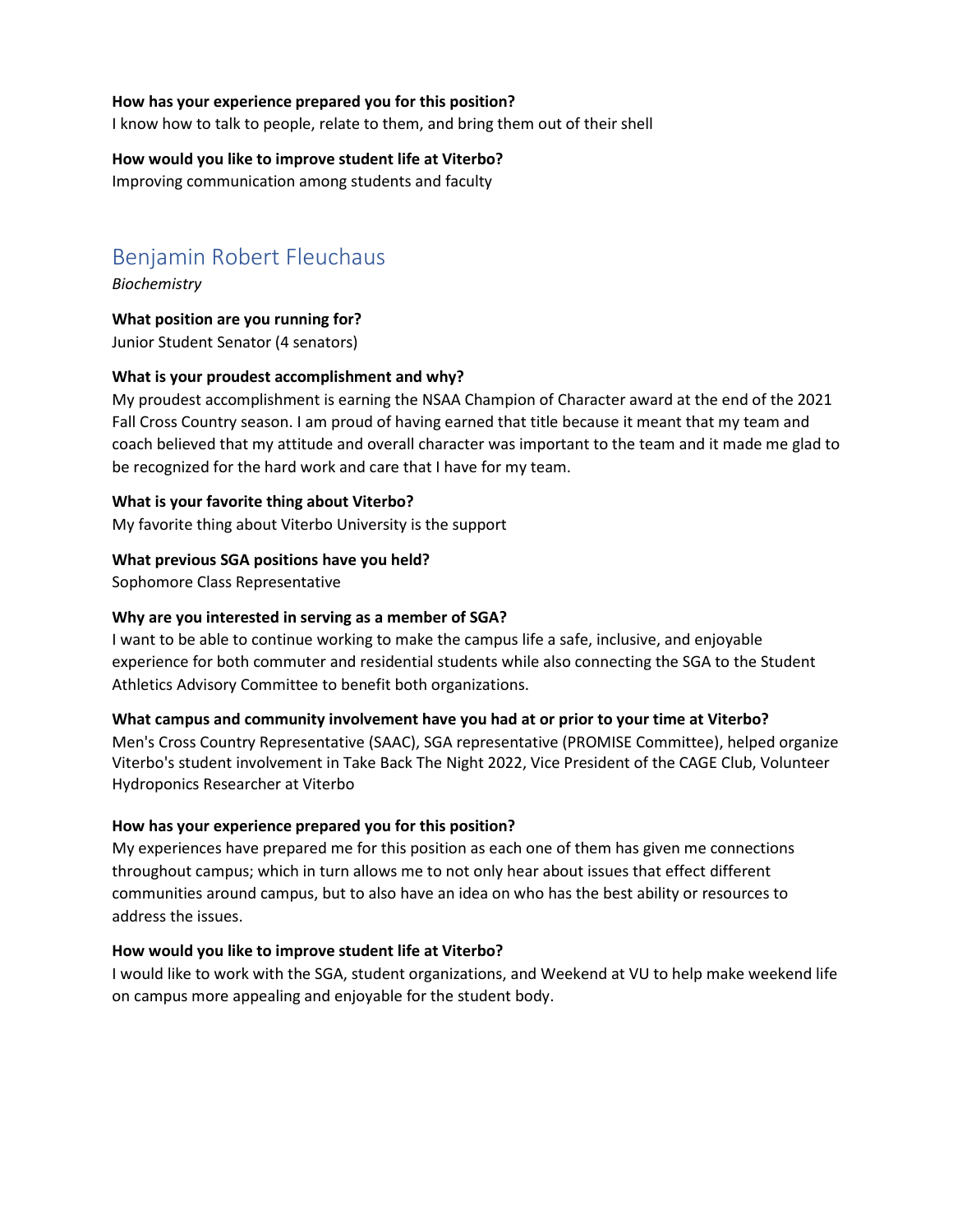#### **How has your experience prepared you for this position?**

I know how to talk to people, relate to them, and bring them out of their shell

#### **How would you like to improve student life at Viterbo?**  Improving communication among students and faculty

# Benjamin Robert Fleuchaus

*Biochemistry* 

**What position are you running for?**  Junior Student Senator (4 senators)

#### **What is your proudest accomplishment and why?**

My proudest accomplishment is earning the NSAA Champion of Character award at the end of the 2021 Fall Cross Country season. I am proud of having earned that title because it meant that my team and coach believed that my attitude and overall character was important to the team and it made me glad to be recognized for the hard work and care that I have for my team.

**What is your favorite thing about Viterbo?** 

My favorite thing about Viterbo University is the support

#### **What previous SGA positions have you held?**

Sophomore Class Representative

#### **Why are you interested in serving as a member of SGA?**

I want to be able to continue working to make the campus life a safe, inclusive, and enjoyable experience for both commuter and residential students while also connecting the SGA to the Student Athletics Advisory Committee to benefit both organizations.

#### **What campus and community involvement have you had at or prior to your time at Viterbo?**

Men's Cross Country Representative (SAAC), SGA representative (PROMISE Committee), helped organize Viterbo's student involvement in Take Back The Night 2022, Vice President of the CAGE Club, Volunteer Hydroponics Researcher at Viterbo

#### **How has your experience prepared you for this position?**

My experiences have prepared me for this position as each one of them has given me connections throughout campus; which in turn allows me to not only hear about issues that effect different communities around campus, but to also have an idea on who has the best ability or resources to address the issues.

#### **How would you like to improve student life at Viterbo?**

I would like to work with the SGA, student organizations, and Weekend at VU to help make weekend life on campus more appealing and enjoyable for the student body.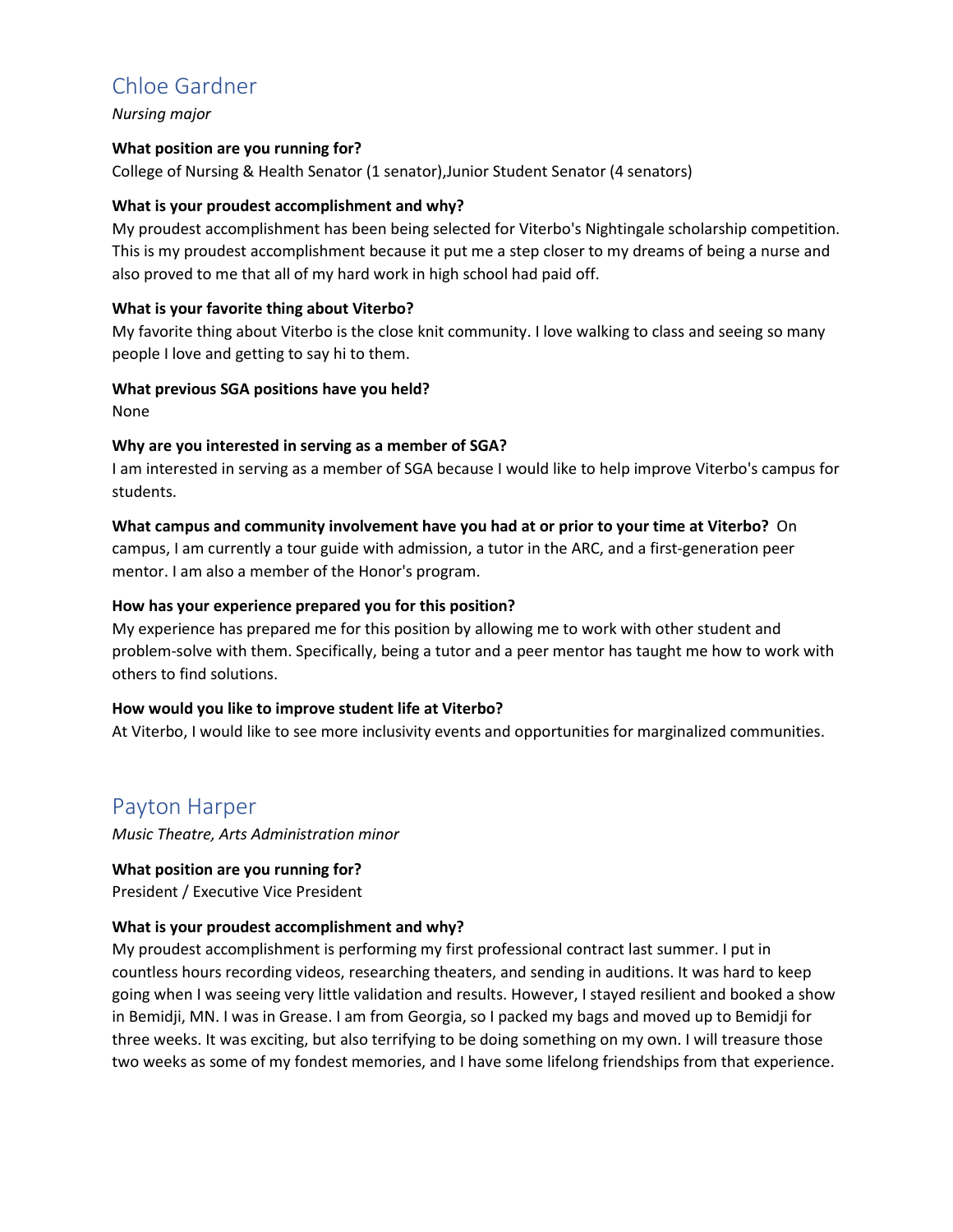# Chloe Gardner

*Nursing major* 

#### **What position are you running for?**

College of Nursing & Health Senator (1 senator),Junior Student Senator (4 senators)

#### **What is your proudest accomplishment and why?**

My proudest accomplishment has been being selected for Viterbo's Nightingale scholarship competition. This is my proudest accomplishment because it put me a step closer to my dreams of being a nurse and also proved to me that all of my hard work in high school had paid off.

# **What is your favorite thing about Viterbo?**

My favorite thing about Viterbo is the close knit community. I love walking to class and seeing so many people I love and getting to say hi to them.

# **What previous SGA positions have you held?**

None

# **Why are you interested in serving as a member of SGA?**

I am interested in serving as a member of SGA because I would like to help improve Viterbo's campus for students.

# **What campus and community involvement have you had at or prior to your time at Viterbo?** On

campus, I am currently a tour guide with admission, a tutor in the ARC, and a first-generation peer mentor. I am also a member of the Honor's program.

# **How has your experience prepared you for this position?**

My experience has prepared me for this position by allowing me to work with other student and problem-solve with them. Specifically, being a tutor and a peer mentor has taught me how to work with others to find solutions.

#### **How would you like to improve student life at Viterbo?**

At Viterbo, I would like to see more inclusivity events and opportunities for marginalized communities.

# Payton Harper

*Music Theatre, Arts Administration minor* 

# **What position are you running for?**

President / Executive Vice President

#### **What is your proudest accomplishment and why?**

My proudest accomplishment is performing my first professional contract last summer. I put in countless hours recording videos, researching theaters, and sending in auditions. It was hard to keep going when I was seeing very little validation and results. However, I stayed resilient and booked a show in Bemidji, MN. I was in Grease. I am from Georgia, so I packed my bags and moved up to Bemidji for three weeks. It was exciting, but also terrifying to be doing something on my own. I will treasure those two weeks as some of my fondest memories, and I have some lifelong friendships from that experience.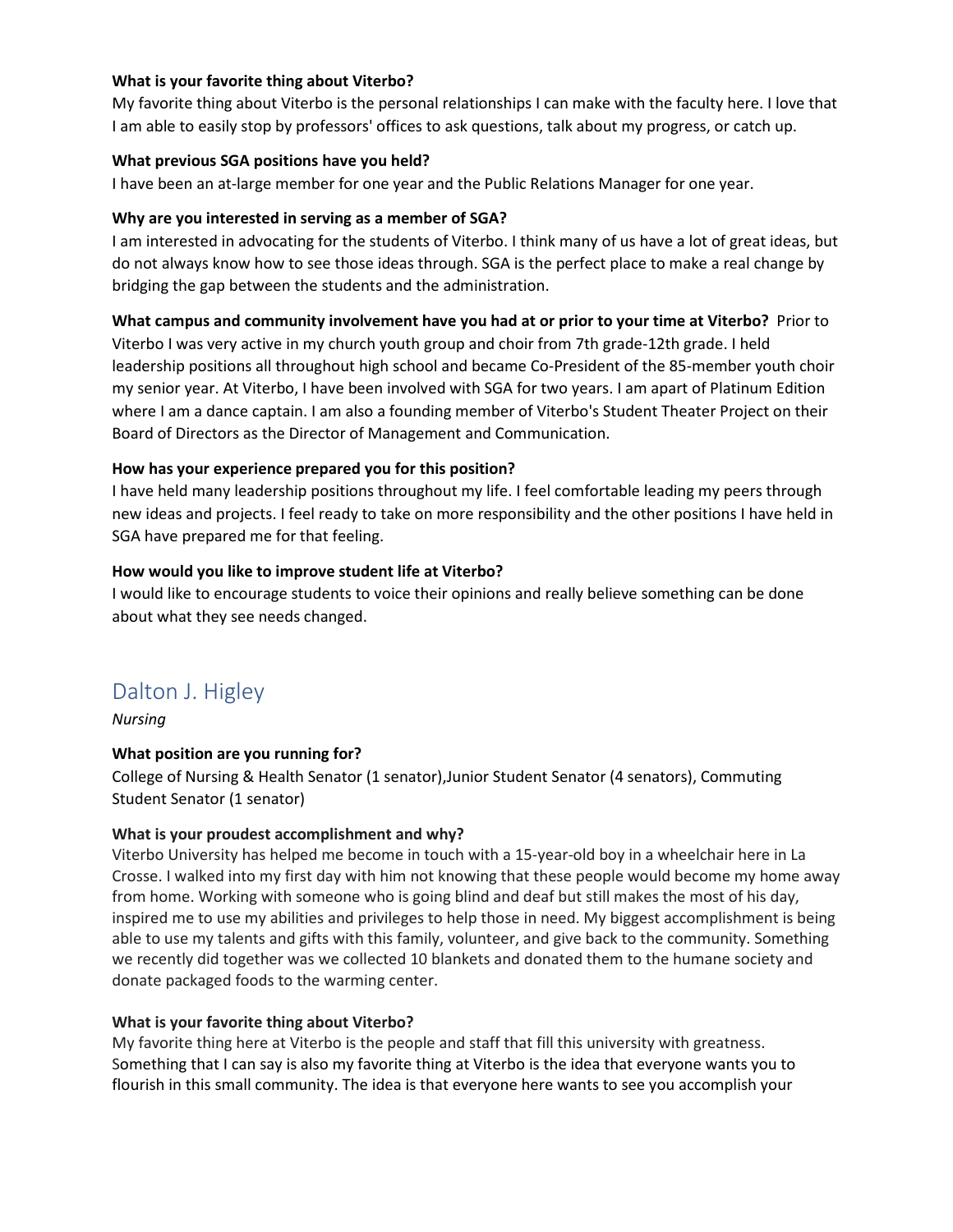# **What is your favorite thing about Viterbo?**

My favorite thing about Viterbo is the personal relationships I can make with the faculty here. I love that I am able to easily stop by professors' offices to ask questions, talk about my progress, or catch up.

#### **What previous SGA positions have you held?**

I have been an at-large member for one year and the Public Relations Manager for one year.

# **Why are you interested in serving as a member of SGA?**

I am interested in advocating for the students of Viterbo. I think many of us have a lot of great ideas, but do not always know how to see those ideas through. SGA is the perfect place to make a real change by bridging the gap between the students and the administration.

# **What campus and community involvement have you had at or prior to your time at Viterbo?** Prior to

Viterbo I was very active in my church youth group and choir from 7th grade-12th grade. I held leadership positions all throughout high school and became Co-President of the 85-member youth choir my senior year. At Viterbo, I have been involved with SGA for two years. I am apart of Platinum Edition where I am a dance captain. I am also a founding member of Viterbo's Student Theater Project on their Board of Directors as the Director of Management and Communication.

# **How has your experience prepared you for this position?**

I have held many leadership positions throughout my life. I feel comfortable leading my peers through new ideas and projects. I feel ready to take on more responsibility and the other positions I have held in SGA have prepared me for that feeling.

# **How would you like to improve student life at Viterbo?**

I would like to encourage students to voice their opinions and really believe something can be done about what they see needs changed.

# Dalton J. Higley

*Nursing* 

# **What position are you running for?**

College of Nursing & Health Senator (1 senator),Junior Student Senator (4 senators), Commuting Student Senator (1 senator)

# **What is your proudest accomplishment and why?**

Viterbo University has helped me become in touch with a 15-year-old boy in a wheelchair here in La Crosse. I walked into my first day with him not knowing that these people would become my home away from home. Working with someone who is going blind and deaf but still makes the most of his day, inspired me to use my abilities and privileges to help those in need. My biggest accomplishment is being able to use my talents and gifts with this family, volunteer, and give back to the community. Something we recently did together was we collected 10 blankets and donated them to the humane society and donate packaged foods to the warming center.

#### **What is your favorite thing about Viterbo?**

My favorite thing here at Viterbo is the people and staff that fill this university with greatness. Something that I can say is also my favorite thing at Viterbo is the idea that everyone wants you to flourish in this small community. The idea is that everyone here wants to see you accomplish your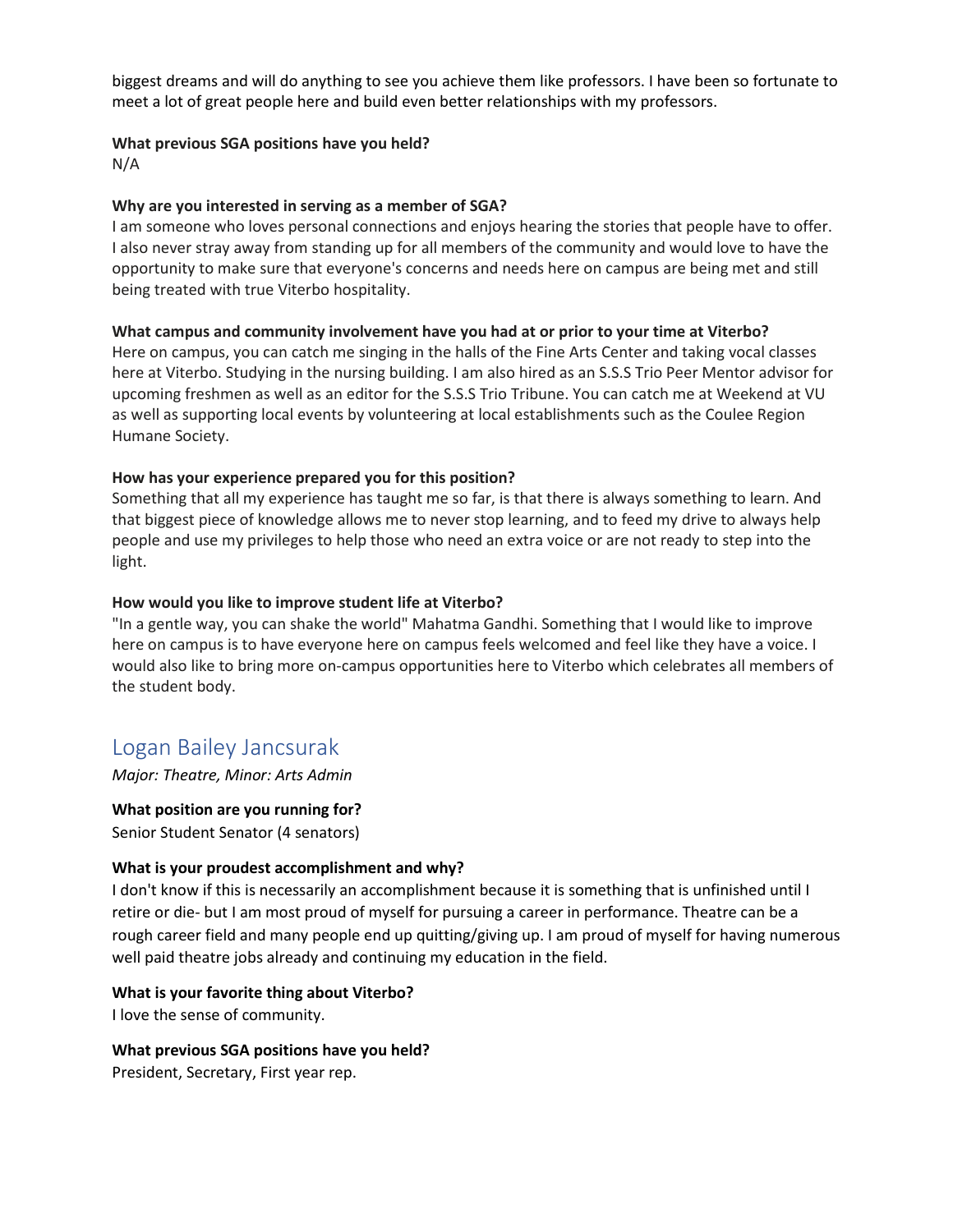biggest dreams and will do anything to see you achieve them like professors. I have been so fortunate to meet a lot of great people here and build even better relationships with my professors.

#### **What previous SGA positions have you held?**

N/A

#### **Why are you interested in serving as a member of SGA?**

I am someone who loves personal connections and enjoys hearing the stories that people have to offer. I also never stray away from standing up for all members of the community and would love to have the opportunity to make sure that everyone's concerns and needs here on campus are being met and still being treated with true Viterbo hospitality.

#### **What campus and community involvement have you had at or prior to your time at Viterbo?**

Here on campus, you can catch me singing in the halls of the Fine Arts Center and taking vocal classes here at Viterbo. Studying in the nursing building. I am also hired as an S.S.S Trio Peer Mentor advisor for upcoming freshmen as well as an editor for the S.S.S Trio Tribune. You can catch me at Weekend at VU as well as supporting local events by volunteering at local establishments such as the Coulee Region Humane Society.

#### **How has your experience prepared you for this position?**

Something that all my experience has taught me so far, is that there is always something to learn. And that biggest piece of knowledge allows me to never stop learning, and to feed my drive to always help people and use my privileges to help those who need an extra voice or are not ready to step into the light.

#### **How would you like to improve student life at Viterbo?**

"In a gentle way, you can shake the world" Mahatma Gandhi. Something that I would like to improve here on campus is to have everyone here on campus feels welcomed and feel like they have a voice. I would also like to bring more on-campus opportunities here to Viterbo which celebrates all members of the student body.

# Logan Bailey Jancsurak

*Major: Theatre, Minor: Arts Admin* 

**What position are you running for?**  Senior Student Senator (4 senators)

#### **What is your proudest accomplishment and why?**

I don't know if this is necessarily an accomplishment because it is something that is unfinished until I retire or die- but I am most proud of myself for pursuing a career in performance. Theatre can be a rough career field and many people end up quitting/giving up. I am proud of myself for having numerous well paid theatre jobs already and continuing my education in the field.

#### **What is your favorite thing about Viterbo?**

I love the sense of community.

#### **What previous SGA positions have you held?**

President, Secretary, First year rep.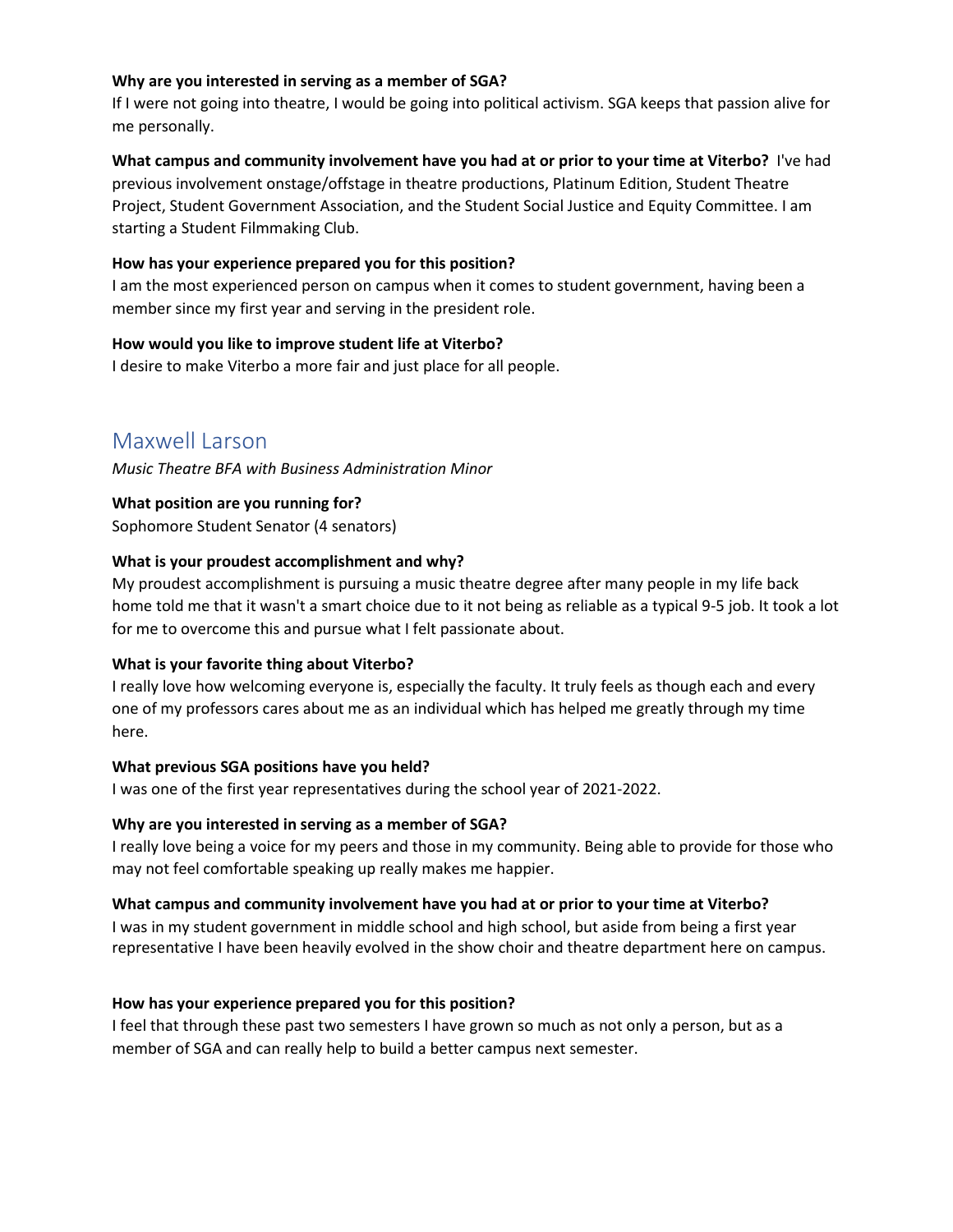#### **Why are you interested in serving as a member of SGA?**

If I were not going into theatre, I would be going into political activism. SGA keeps that passion alive for me personally.

# **What campus and community involvement have you had at or prior to your time at Viterbo?** I've had previous involvement onstage/offstage in theatre productions, Platinum Edition, Student Theatre Project, Student Government Association, and the Student Social Justice and Equity Committee. I am starting a Student Filmmaking Club.

# **How has your experience prepared you for this position?**

I am the most experienced person on campus when it comes to student government, having been a member since my first year and serving in the president role.

# **How would you like to improve student life at Viterbo?**

I desire to make Viterbo a more fair and just place for all people.

# Maxwell Larson

*Music Theatre BFA with Business Administration Minor* 

**What position are you running for?** 

Sophomore Student Senator (4 senators)

# **What is your proudest accomplishment and why?**

My proudest accomplishment is pursuing a music theatre degree after many people in my life back home told me that it wasn't a smart choice due to it not being as reliable as a typical 9-5 job. It took a lot for me to overcome this and pursue what I felt passionate about.

#### **What is your favorite thing about Viterbo?**

I really love how welcoming everyone is, especially the faculty. It truly feels as though each and every one of my professors cares about me as an individual which has helped me greatly through my time here.

#### **What previous SGA positions have you held?**

I was one of the first year representatives during the school year of 2021-2022.

# **Why are you interested in serving as a member of SGA?**

I really love being a voice for my peers and those in my community. Being able to provide for those who may not feel comfortable speaking up really makes me happier.

#### **What campus and community involvement have you had at or prior to your time at Viterbo?**

I was in my student government in middle school and high school, but aside from being a first year representative I have been heavily evolved in the show choir and theatre department here on campus.

#### **How has your experience prepared you for this position?**

I feel that through these past two semesters I have grown so much as not only a person, but as a member of SGA and can really help to build a better campus next semester.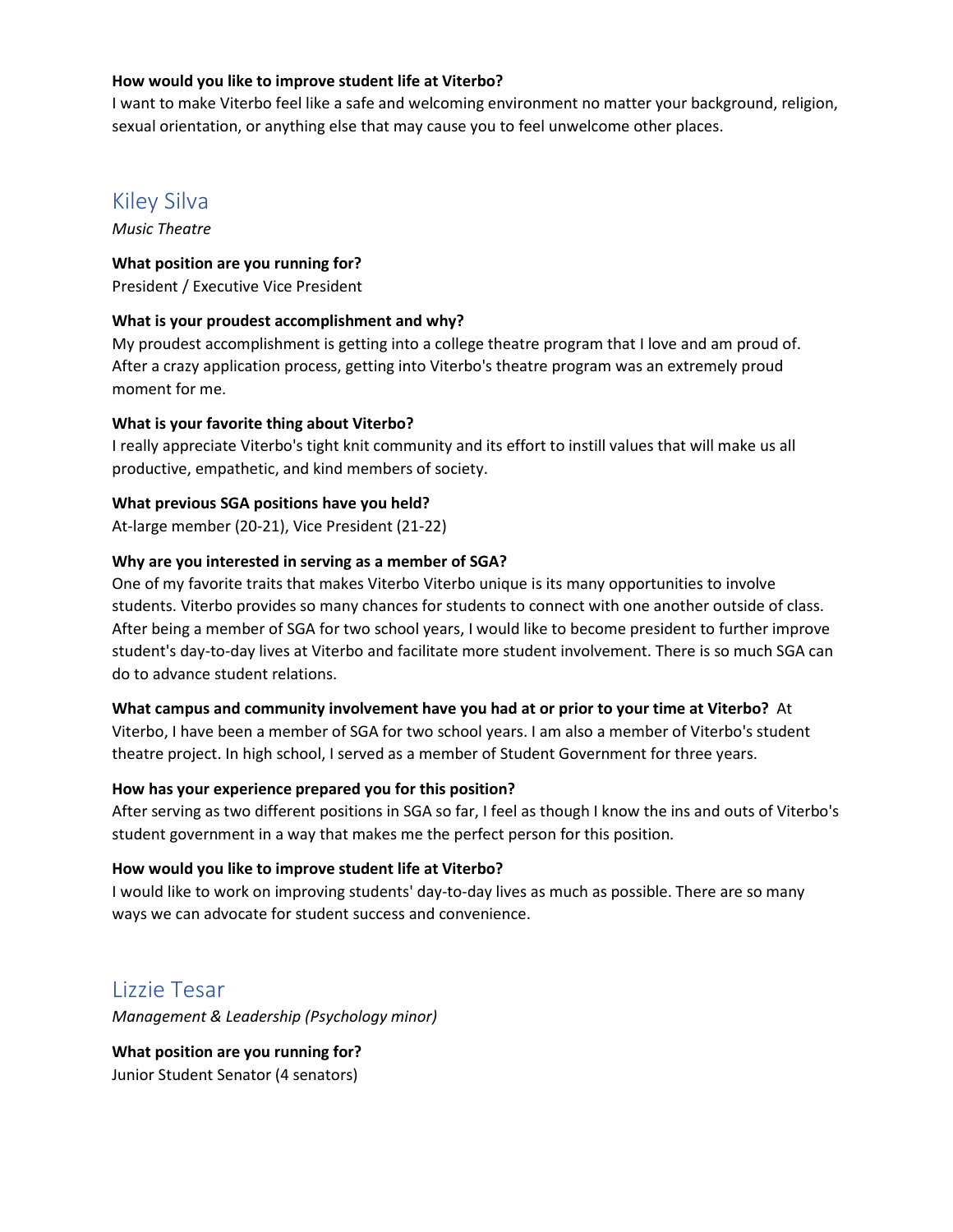# **How would you like to improve student life at Viterbo?**

I want to make Viterbo feel like a safe and welcoming environment no matter your background, religion, sexual orientation, or anything else that may cause you to feel unwelcome other places.

# Kiley Silva

*Music Theatre* 

# **What position are you running for?**

President / Executive Vice President

# **What is your proudest accomplishment and why?**

My proudest accomplishment is getting into a college theatre program that I love and am proud of. After a crazy application process, getting into Viterbo's theatre program was an extremely proud moment for me.

# **What is your favorite thing about Viterbo?**

I really appreciate Viterbo's tight knit community and its effort to instill values that will make us all productive, empathetic, and kind members of society.

# **What previous SGA positions have you held?**

At-large member (20-21), Vice President (21-22)

# **Why are you interested in serving as a member of SGA?**

One of my favorite traits that makes Viterbo Viterbo unique is its many opportunities to involve students. Viterbo provides so many chances for students to connect with one another outside of class. After being a member of SGA for two school years, I would like to become president to further improve student's day-to-day lives at Viterbo and facilitate more student involvement. There is so much SGA can do to advance student relations.

#### **What campus and community involvement have you had at or prior to your time at Viterbo?** At

Viterbo, I have been a member of SGA for two school years. I am also a member of Viterbo's student theatre project. In high school, I served as a member of Student Government for three years.

#### **How has your experience prepared you for this position?**

After serving as two different positions in SGA so far, I feel as though I know the ins and outs of Viterbo's student government in a way that makes me the perfect person for this position.

# **How would you like to improve student life at Viterbo?**

I would like to work on improving students' day-to-day lives as much as possible. There are so many ways we can advocate for student success and convenience.

# Lizzie Tesar

*Management & Leadership (Psychology minor)* 

**What position are you running for?**  Junior Student Senator (4 senators)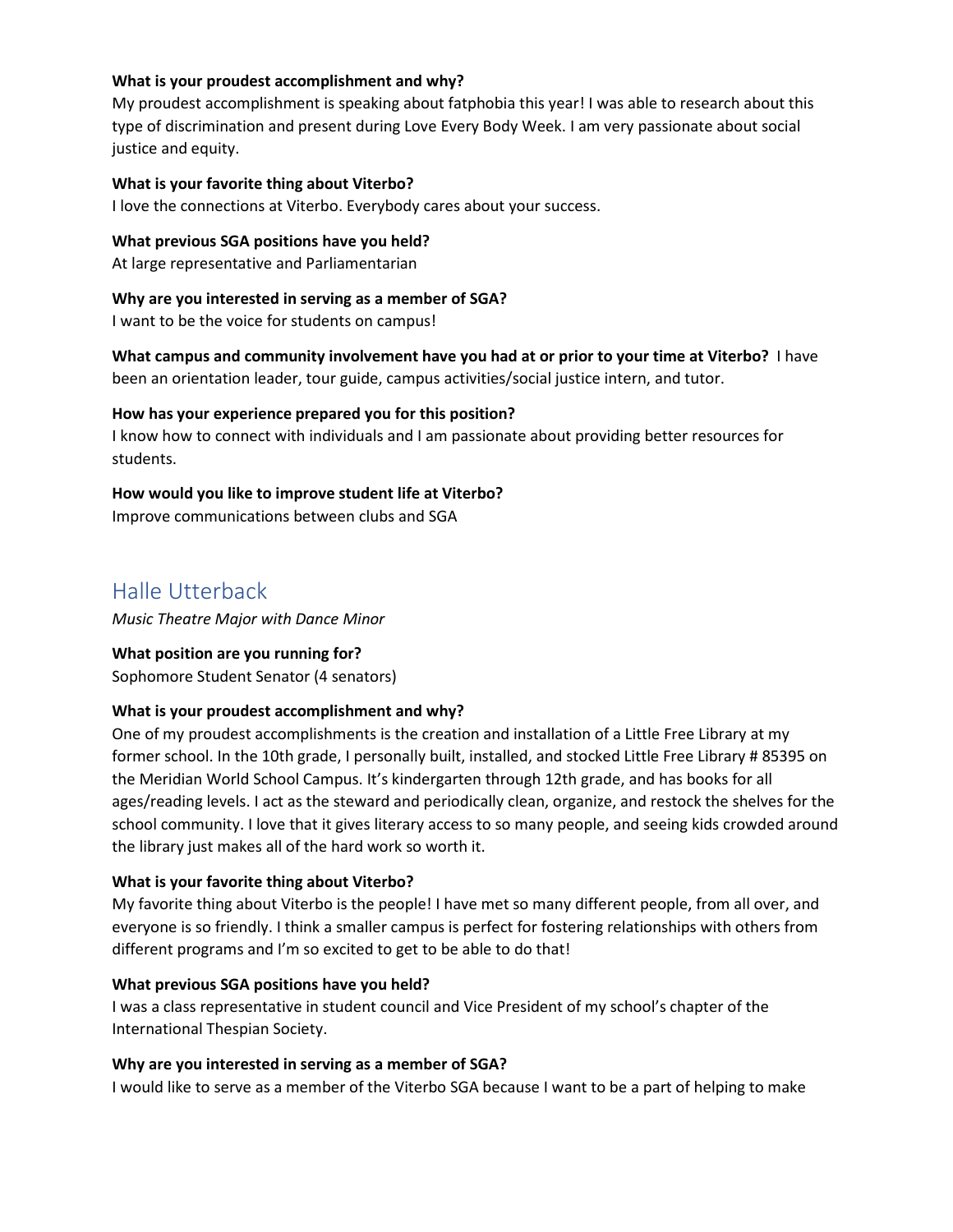#### **What is your proudest accomplishment and why?**

My proudest accomplishment is speaking about fatphobia this year! I was able to research about this type of discrimination and present during Love Every Body Week. I am very passionate about social justice and equity.

#### **What is your favorite thing about Viterbo?**

I love the connections at Viterbo. Everybody cares about your success.

# **What previous SGA positions have you held?**

At large representative and Parliamentarian

# **Why are you interested in serving as a member of SGA?**

I want to be the voice for students on campus!

**What campus and community involvement have you had at or prior to your time at Viterbo?** I have been an orientation leader, tour guide, campus activities/social justice intern, and tutor.

#### **How has your experience prepared you for this position?**

I know how to connect with individuals and I am passionate about providing better resources for students.

# **How would you like to improve student life at Viterbo?**

Improve communications between clubs and SGA

# Halle Utterback

*Music Theatre Major with Dance Minor* 

# **What position are you running for?**

Sophomore Student Senator (4 senators)

# **What is your proudest accomplishment and why?**

One of my proudest accomplishments is the creation and installation of a Little Free Library at my former school. In the 10th grade, I personally built, installed, and stocked Little Free Library # 85395 on the Meridian World School Campus. It's kindergarten through 12th grade, and has books for all ages/reading levels. I act as the steward and periodically clean, organize, and restock the shelves for the school community. I love that it gives literary access to so many people, and seeing kids crowded around the library just makes all of the hard work so worth it.

# **What is your favorite thing about Viterbo?**

My favorite thing about Viterbo is the people! I have met so many different people, from all over, and everyone is so friendly. I think a smaller campus is perfect for fostering relationships with others from different programs and I'm so excited to get to be able to do that!

#### **What previous SGA positions have you held?**

I was a class representative in student council and Vice President of my school's chapter of the International Thespian Society.

#### **Why are you interested in serving as a member of SGA?**

I would like to serve as a member of the Viterbo SGA because I want to be a part of helping to make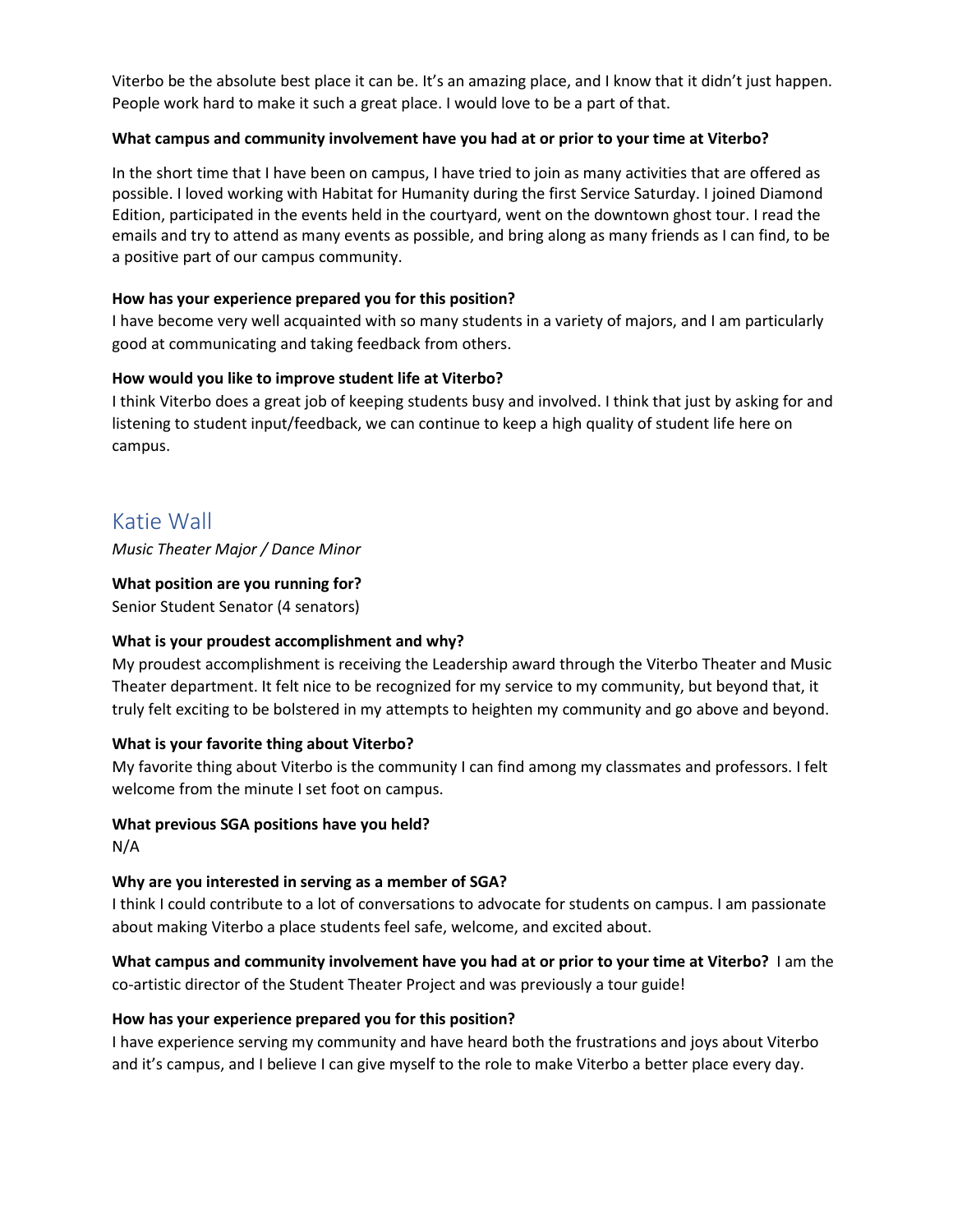Viterbo be the absolute best place it can be. It's an amazing place, and I know that it didn't just happen. People work hard to make it such a great place. I would love to be a part of that.

# **What campus and community involvement have you had at or prior to your time at Viterbo?**

In the short time that I have been on campus, I have tried to join as many activities that are offered as possible. I loved working with Habitat for Humanity during the first Service Saturday. I joined Diamond Edition, participated in the events held in the courtyard, went on the downtown ghost tour. I read the emails and try to attend as many events as possible, and bring along as many friends as I can find, to be a positive part of our campus community.

# **How has your experience prepared you for this position?**

I have become very well acquainted with so many students in a variety of majors, and I am particularly good at communicating and taking feedback from others.

# **How would you like to improve student life at Viterbo?**

I think Viterbo does a great job of keeping students busy and involved. I think that just by asking for and listening to student input/feedback, we can continue to keep a high quality of student life here on campus.

# Katie Wall

*Music Theater Major / Dance Minor* 

# **What position are you running for?**

Senior Student Senator (4 senators)

# **What is your proudest accomplishment and why?**

My proudest accomplishment is receiving the Leadership award through the Viterbo Theater and Music Theater department. It felt nice to be recognized for my service to my community, but beyond that, it truly felt exciting to be bolstered in my attempts to heighten my community and go above and beyond.

# **What is your favorite thing about Viterbo?**

My favorite thing about Viterbo is the community I can find among my classmates and professors. I felt welcome from the minute I set foot on campus.

#### **What previous SGA positions have you held?**

N/A

# **Why are you interested in serving as a member of SGA?**

I think I could contribute to a lot of conversations to advocate for students on campus. I am passionate about making Viterbo a place students feel safe, welcome, and excited about.

**What campus and community involvement have you had at or prior to your time at Viterbo?** I am the co-artistic director of the Student Theater Project and was previously a tour guide!

#### **How has your experience prepared you for this position?**

I have experience serving my community and have heard both the frustrations and joys about Viterbo and it's campus, and I believe I can give myself to the role to make Viterbo a better place every day.